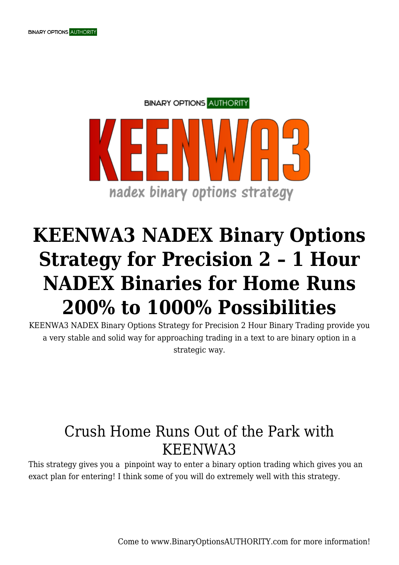

## **KEENWA3 NADEX Binary Options Strategy for Precision 2 – 1 Hour NADEX Binaries for Home Runs 200% to 1000% Possibilities**

KEENWA3 NADEX Binary Options Strategy for Precision 2 Hour Binary Trading provide you a very stable and solid way for approaching trading in a text to are binary option in a strategic way.

## Crush Home Runs Out of the Park with KEENWA3

This strategy gives you a pinpoint way to enter a binary option trading which gives you an exact plan for entering! I think some of you will do extremely well with this strategy.

Come to www.BinaryOptionsAUTHORITY.com for more information!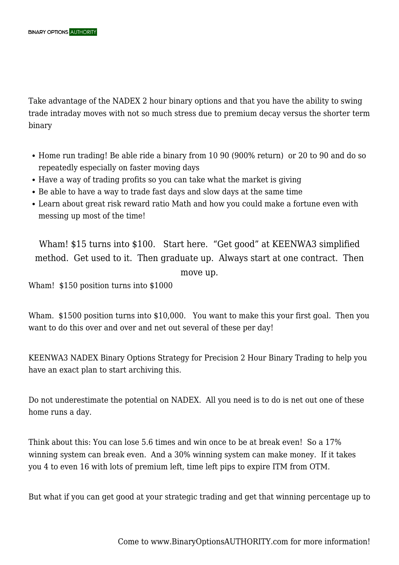Take advantage of the NADEX 2 hour binary options and that you have the ability to swing trade intraday moves with not so much stress due to premium decay versus the shorter term binary

- Home run trading! Be able ride a binary from 10 90 (900% return) or 20 to 90 and do so repeatedly especially on faster moving days
- Have a way of trading profits so you can take what the market is giving
- Be able to have a way to trade fast days and slow days at the same time
- Learn about great risk reward ratio Math and how you could make a fortune even with messing up most of the time!

Wham! \$15 turns into \$100. Start here. "Get good" at KEENWA3 simplified method. Get used to it. Then graduate up. Always start at one contract. Then move up.

Wham! \$150 position turns into \$1000

Wham. \$1500 position turns into \$10,000. You want to make this your first goal. Then you want to do this over and over and net out several of these per day!

KEENWA3 NADEX Binary Options Strategy for Precision 2 Hour Binary Trading to help you have an exact plan to start archiving this.

Do not underestimate the potential on NADEX. All you need is to do is net out one of these home runs a day.

Think about this: You can lose 5.6 times and win once to be at break even! So a 17% winning system can break even. And a 30% winning system can make money. If it takes you 4 to even 16 with lots of premium left, time left pips to expire ITM from OTM.

But what if you can get good at your strategic trading and get that winning percentage up to